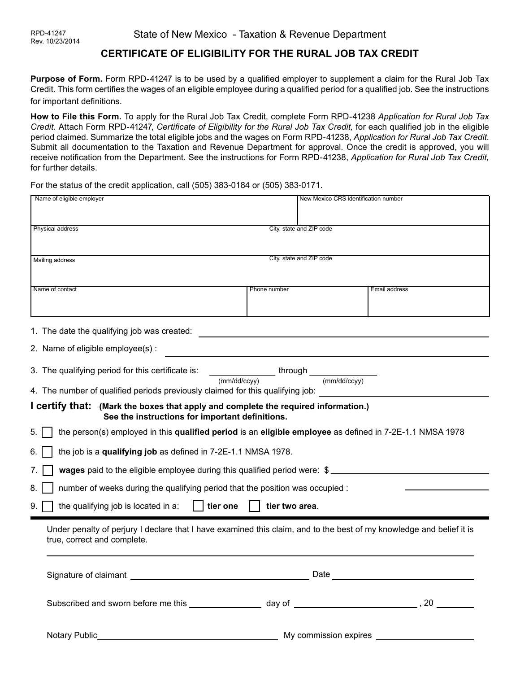# **CERTIFICATE OF ELIGIBILITY FOR THE RURAL JOB TAX CREDIT**

**Purpose of Form.** Form RPD-41247 is to be used by a qualified employer to supplement a claim for the Rural Job Tax Credit. This form certifies the wages of an eligible employee during a qualified period for a qualified job. See the instructions for important definitions.

**How to File this Form.** To apply for the Rural Job Tax Credit, complete Form RPD-41238 *Application for Rural Job Tax Credit.* Attach Form RPD-41247, *Certificate of Eligibility for the Rural Job Tax Credit,* for each qualified job in the eligible period claimed. Summarize the total eligible jobs and the wages on Form RPD-41238, *Application for Rural Job Tax Credit*. Submit all documentation to the Taxation and Revenue Department for approval. Once the credit is approved, you will receive notification from the Department. See the instructions for Form RPD-41238, *Application for Rural Job Tax Credit,*  for further details.

For the status of the credit application, call (505) 383-0184 or (505) 383-0171.

| Name of eligible employer                                                                                                                           | New Mexico CRS identification number |               |
|-----------------------------------------------------------------------------------------------------------------------------------------------------|--------------------------------------|---------------|
|                                                                                                                                                     |                                      |               |
| City, state and ZIP code<br>Physical address                                                                                                        |                                      |               |
|                                                                                                                                                     |                                      |               |
| City, state and ZIP code<br>Mailing address                                                                                                         |                                      |               |
|                                                                                                                                                     |                                      |               |
| Name of contact                                                                                                                                     | Phone number                         | Email address |
|                                                                                                                                                     |                                      |               |
| 1. The date the qualifying job was created:                                                                                                         |                                      |               |
| 2. Name of eligible employee(s):                                                                                                                    |                                      |               |
| 3. The qualifying period for this certificate is:                                                                                                   | through _                            |               |
| (mm/dd/ccyy)<br>(mm/dd/ccvv)<br>4. The number of qualified periods previously claimed for this qualifying job:                                      |                                      |               |
| I certify that: (Mark the boxes that apply and complete the required information.)<br>See the instructions for important definitions.               |                                      |               |
| the person(s) employed in this qualified period is an eligible employee as defined in 7-2E-1.1 NMSA 1978<br>5.                                      |                                      |               |
| the job is a qualifying job as defined in 7-2E-1.1 NMSA 1978.<br>ნ.                                                                                 |                                      |               |
| wages paid to the eligible employee during this qualified period were: \$                                                                           |                                      |               |
| number of weeks during the qualifying period that the position was occupied :<br>8.                                                                 |                                      |               |
| the qualifying job is located in a:<br>tier one<br>tier two area.<br>9.                                                                             |                                      |               |
| Under penalty of perjury I declare that I have examined this claim, and to the best of my knowledge and belief it is<br>true, correct and complete. |                                      |               |
| Date<br>Signature of claimant ___________                                                                                                           |                                      |               |
|                                                                                                                                                     |                                      |               |
|                                                                                                                                                     |                                      |               |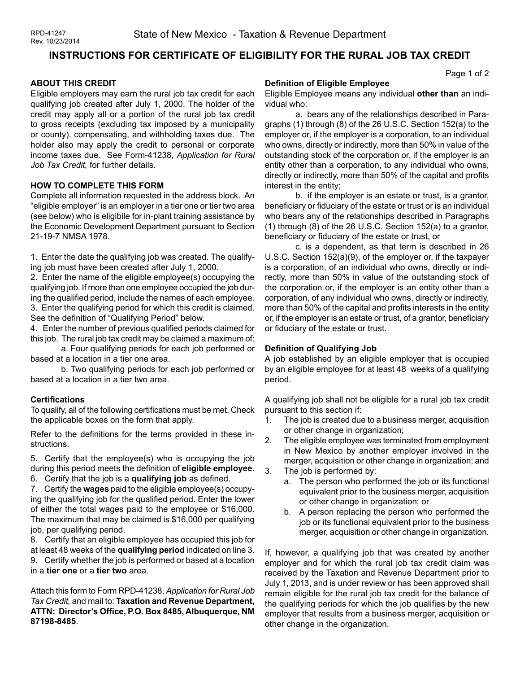# **INSTRUCTIONS FOR CERTIFICATE OF ELIGIBILITY FOR THE RURAL JOB TAX CREDIT**

## **ABOUT THIS CREDIT**

Eligible employers may earn the rural job tax credit for each qualifying job created after July 1, 2000. The holder of the credit may apply all or a portion of the rural job tax credit to gross receipts (excluding tax imposed by a municipality or county), compensating, and withholding taxes due. The holder also may apply the credit to personal or corporate income taxes due. See Form-41238, *Application for Rural Job Tax Credit,* for further details.

#### **HOW TO COMPLETE THIS FORM**

Complete all information requested in the address block. An "eligible employer" is an employer in a tier one or tier two area (see below) who is eligibile for in-plant training assistance by the Economic Development Department pursuant to Section 21-19-7 NMSA 1978.

1. Enter the date the qualifying job was created. The qualifying job must have been created after July 1, 2000.

2. Enter the name of the eligible employee(s) occupying the qualifying job. If more than one employee occupied the job during the qualified period, include the names of each employee. 3. Enter the qualifying period for which this credit is claimed. See the definition of "Qualifying Period" below.

4. Enter the number of previous qualified periods claimed for this job. The rural job tax credit may be claimed a maximum of:

a. Four qualifying periods for each job performed or based at a location in a tier one area.

b. Two qualifying periods for each job performed or based at a location in a tier two area.

#### **Certifications**

To qualify, all of the following certifications must be met. Check the applicable boxes on the form that apply.

Refer to the definitions for the terms provided in these instructions.

5. Certify that the employee(s) who is occupying the job during this period meets the definition of **eligible employee**.

6. Certify that the job is a **qualifying job** as defined.

7. Certify the **wages** paid to the eligible employee(s) occupying the qualifying job for the qualified period. Enter the lower of either the total wages paid to the employee or \$16,000. The maximum that may be claimed is \$16,000 per qualifying job, per qualifying period.

8. Certify that an eligible employee has occupied this job for at least 48 weeks of the **qualifying period** indicated on line 3. 9. Certify whether the job is performed or based at a location in a **tier one** or a **tier two** area.

Attach this form to Form RPD-41238, *Application for Rural Job Tax Credit,* and mail to: **Taxation and Revenue Department, ATTN: Director's Office, P.O. Box 8485, Albuquerque, NM 87198-8485**.

#### **Definition of Eligible Employee**

Eligible Employee means any individual **other than** an individual who:

a. bears any of the relationships described in Paragraphs (1) through (8) of the 26 U.S.C. Section 152(a) to the employer or, if the employer is a corporation, to an individual who owns, directly or indirectly, more than 50% in value of the outstanding stock of the corporation or, if the employer is an entity other than a corporation, to any individual who owns, directly or indirectly, more than 50% of the capital and profits interest in the entity;

b. if the employer is an estate or trust, is a grantor, beneficiary or fiduciary of the estate or trust or is an individual who bears any of the relationships described in Paragraphs (1) through (8) of the 26 U.S.C. Section 152(a) to a grantor, beneficiary or fiduciary of the estate or trust, or

c. is a dependent, as that term is described in 26 U.S.C. Section 152(a)(9), of the employer or, if the taxpayer is a corporation, of an individual who owns, directly or indirectly, more than 50% in value of the outstanding stock of the corporation or, if the employer is an entity other than a corporation, of any individual who owns, directly or indirectly, more than 50% of the capital and profits interests in the entity or, if the employer is an estate or trust, of a grantor, beneficiary or fiduciary of the estate or trust.

#### **Definition of Qualifying Job**

A job established by an eligible employer that is occupied by an eligible employee for at least 48 weeks of a qualifying period.

A qualifying job shall not be eligible for a rural job tax credit pursuant to this section if:

- 1. The job is created due to a business merger, acquisition or other change in organization;
- 2. The eligible employee was terminated from employment in New Mexico by another employer involved in the merger, acquisition or other change in organization; and
- 3. The job is performed by:
	- a. The person who performed the job or its functional equivalent prior to the business merger, acquisition or other change in organization; or
	- b. A person replacing the person who performed the job or its functional equivalent prior to the business merger, acquisition or other change in organization.

If, however, a qualifying job that was created by another employer and for which the rural job tax credit claim was received by the Taxation and Revenue Department prior to July 1, 2013, and is under review or has been approved shall remain eligible for the rural job tax credit for the balance of the qualifying periods for which the job qualifies by the new employer that results from a business merger, acquisition or other change in the organization.

Page 1 of 2